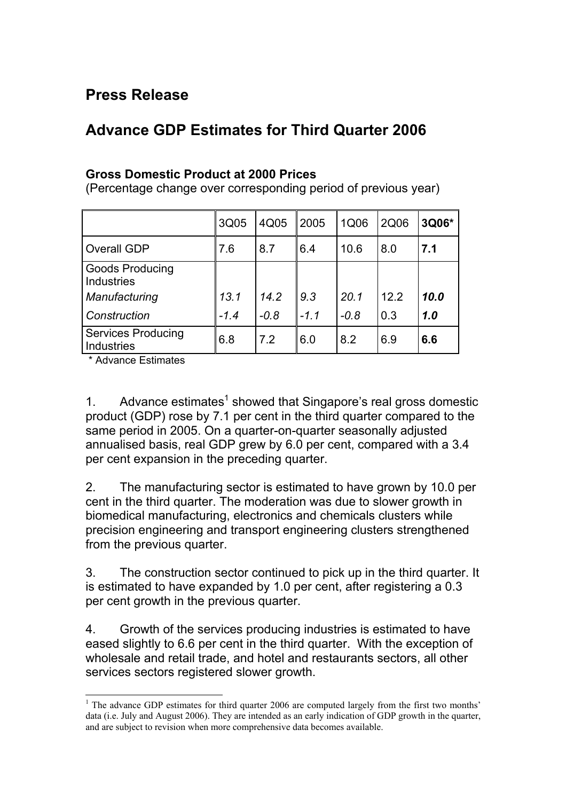## **Press Release**

## **Advance GDP Estimates for Third Quarter 2006**

## **Gross Domestic Product at 2000 Prices**

(Percentage change over corresponding period of previous year)

|                                                       | 3Q05   | 4Q05   | 2005   | 1Q06   | 2Q06 | 3Q06* |
|-------------------------------------------------------|--------|--------|--------|--------|------|-------|
| <b>Overall GDP</b>                                    | 7.6    | 8.7    | 6.4    | 10.6   | 8.0  | 7.1   |
| <b>Goods Producing</b><br>Industries<br>Manufacturing | 13.1   | 14.2   | 9.3    | 20.1   | 12.2 | 10.0  |
| Construction                                          | $-1.4$ | $-0.8$ | $-1.1$ | $-0.8$ | 0.3  | 1.0   |
| <b>Services Producing</b><br><b>Industries</b>        | 6.8    | 7.2    | 6.0    | 8.2    | 6.9  | 6.6   |

\* Advance Estimates

 $\overline{\phantom{a}}$ 

[1](#page-0-0). Advance estimates<sup>1</sup> showed that Singapore's real gross domestic product (GDP) rose by 7.1 per cent in the third quarter compared to the same period in 2005. On a quarter-on-quarter seasonally adjusted annualised basis, real GDP grew by 6.0 per cent, compared with a 3.4 per cent expansion in the preceding quarter.

2. The manufacturing sector is estimated to have grown by 10.0 per cent in the third quarter. The moderation was due to slower growth in biomedical manufacturing, electronics and chemicals clusters while precision engineering and transport engineering clusters strengthened from the previous quarter.

3. The construction sector continued to pick up in the third quarter. It is estimated to have expanded by 1.0 per cent, after registering a 0.3 per cent growth in the previous quarter.

4. Growth of the services producing industries is estimated to have eased slightly to 6.6 per cent in the third quarter. With the exception of wholesale and retail trade, and hotel and restaurants sectors, all other services sectors registered slower growth.

<span id="page-0-0"></span><sup>&</sup>lt;sup>1</sup> The advance GDP estimates for third quarter 2006 are computed largely from the first two months' data (i.e. July and August 2006). They are intended as an early indication of GDP growth in the quarter, and are subject to revision when more comprehensive data becomes available.